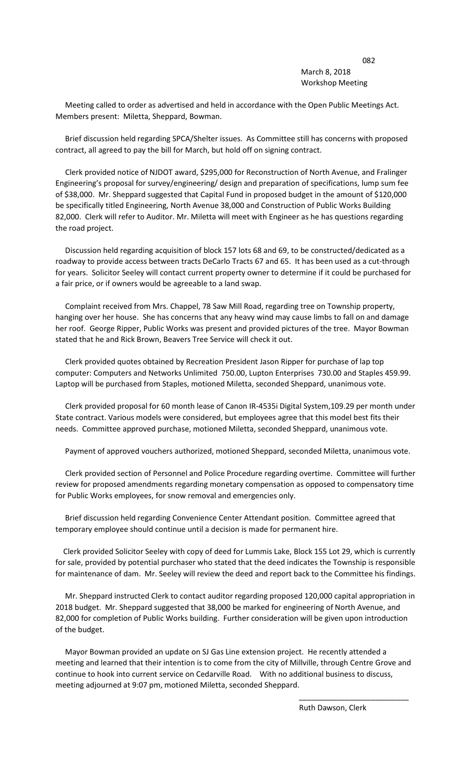## 082 March 8, 2018 Workshop Meeting

 Meeting called to order as advertised and held in accordance with the Open Public Meetings Act. Members present: Miletta, Sheppard, Bowman.

 Brief discussion held regarding SPCA/Shelter issues. As Committee still has concerns with proposed contract, all agreed to pay the bill for March, but hold off on signing contract.

 Clerk provided notice of NJDOT award, \$295,000 for Reconstruction of North Avenue, and Fralinger Engineering's proposal for survey/engineering/ design and preparation of specifications, lump sum fee of \$38,000. Mr. Sheppard suggested that Capital Fund in proposed budget in the amount of \$120,000 be specifically titled Engineering, North Avenue 38,000 and Construction of Public Works Building 82,000. Clerk will refer to Auditor. Mr. Miletta will meet with Engineer as he has questions regarding the road project.

 Discussion held regarding acquisition of block 157 lots 68 and 69, to be constructed/dedicated as a roadway to provide access between tracts DeCarlo Tracts 67 and 65. It has been used as a cut-through for years. Solicitor Seeley will contact current property owner to determine if it could be purchased for a fair price, or if owners would be agreeable to a land swap.

 Complaint received from Mrs. Chappel, 78 Saw Mill Road, regarding tree on Township property, hanging over her house. She has concerns that any heavy wind may cause limbs to fall on and damage her roof. George Ripper, Public Works was present and provided pictures of the tree. Mayor Bowman stated that he and Rick Brown, Beavers Tree Service will check it out.

 Clerk provided quotes obtained by Recreation President Jason Ripper for purchase of lap top computer: Computers and Networks Unlimited 750.00, Lupton Enterprises 730.00 and Staples 459.99. Laptop will be purchased from Staples, motioned Miletta, seconded Sheppard, unanimous vote.

 Clerk provided proposal for 60 month lease of Canon IR-4535i Digital System,109.29 per month under State contract. Various models were considered, but employees agree that this model best fits their needs. Committee approved purchase, motioned Miletta, seconded Sheppard, unanimous vote.

Payment of approved vouchers authorized, motioned Sheppard, seconded Miletta, unanimous vote.

 Clerk provided section of Personnel and Police Procedure regarding overtime. Committee will further review for proposed amendments regarding monetary compensation as opposed to compensatory time for Public Works employees, for snow removal and emergencies only.

 Brief discussion held regarding Convenience Center Attendant position. Committee agreed that temporary employee should continue until a decision is made for permanent hire.

 Clerk provided Solicitor Seeley with copy of deed for Lummis Lake, Block 155 Lot 29, which is currently for sale, provided by potential purchaser who stated that the deed indicates the Township is responsible for maintenance of dam. Mr. Seeley will review the deed and report back to the Committee his findings.

 Mr. Sheppard instructed Clerk to contact auditor regarding proposed 120,000 capital appropriation in 2018 budget. Mr. Sheppard suggested that 38,000 be marked for engineering of North Avenue, and 82,000 for completion of Public Works building. Further consideration will be given upon introduction of the budget.

 Mayor Bowman provided an update on SJ Gas Line extension project. He recently attended a meeting and learned that their intention is to come from the city of Millville, through Centre Grove and continue to hook into current service on Cedarville Road. With no additional business to discuss, meeting adjourned at 9:07 pm, motioned Miletta, seconded Sheppard.

 $\overline{\phantom{a}}$  , and the contract of the contract of the contract of the contract of the contract of the contract of the contract of the contract of the contract of the contract of the contract of the contract of the contrac

Ruth Dawson, Clerk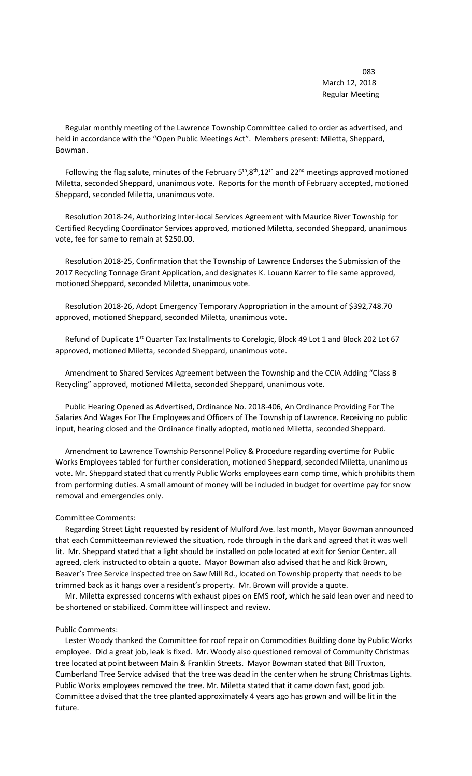<u>083</u> March 12, 2018 Regular Meeting

 Regular monthly meeting of the Lawrence Township Committee called to order as advertised, and held in accordance with the "Open Public Meetings Act". Members present: Miletta, Sheppard, Bowman.

Following the flag salute, minutes of the February  $5<sup>th</sup>,8<sup>th</sup>,12<sup>th</sup>$  and 22<sup>nd</sup> meetings approved motioned Miletta, seconded Sheppard, unanimous vote. Reports for the month of February accepted, motioned Sheppard, seconded Miletta, unanimous vote.

 Resolution 2018-24, Authorizing Inter-local Services Agreement with Maurice River Township for Certified Recycling Coordinator Services approved, motioned Miletta, seconded Sheppard, unanimous vote, fee for same to remain at \$250.00.

 Resolution 2018-25, Confirmation that the Township of Lawrence Endorses the Submission of the 2017 Recycling Tonnage Grant Application, and designates K. Louann Karrer to file same approved, motioned Sheppard, seconded Miletta, unanimous vote.

 Resolution 2018-26, Adopt Emergency Temporary Appropriation in the amount of \$392,748.70 approved, motioned Sheppard, seconded Miletta, unanimous vote.

Refund of Duplicate 1<sup>st</sup> Quarter Tax Installments to Corelogic, Block 49 Lot 1 and Block 202 Lot 67 approved, motioned Miletta, seconded Sheppard, unanimous vote.

 Amendment to Shared Services Agreement between the Township and the CCIA Adding "Class B Recycling" approved, motioned Miletta, seconded Sheppard, unanimous vote.

 Public Hearing Opened as Advertised, Ordinance No. 2018-406, An Ordinance Providing For The Salaries And Wages For The Employees and Officers of The Township of Lawrence. Receiving no public input, hearing closed and the Ordinance finally adopted, motioned Miletta, seconded Sheppard.

 Amendment to Lawrence Township Personnel Policy & Procedure regarding overtime for Public Works Employees tabled for further consideration, motioned Sheppard, seconded Miletta, unanimous vote. Mr. Sheppard stated that currently Public Works employees earn comp time, which prohibits them from performing duties. A small amount of money will be included in budget for overtime pay for snow removal and emergencies only.

## Committee Comments:

 Regarding Street Light requested by resident of Mulford Ave. last month, Mayor Bowman announced that each Committeeman reviewed the situation, rode through in the dark and agreed that it was well lit. Mr. Sheppard stated that a light should be installed on pole located at exit for Senior Center. all agreed, clerk instructed to obtain a quote. Mayor Bowman also advised that he and Rick Brown, Beaver's Tree Service inspected tree on Saw Mill Rd., located on Township property that needs to be trimmed back as it hangs over a resident's property. Mr. Brown will provide a quote.

 Mr. Miletta expressed concerns with exhaust pipes on EMS roof, which he said lean over and need to be shortened or stabilized. Committee will inspect and review.

## Public Comments:

 Lester Woody thanked the Committee for roof repair on Commodities Building done by Public Works employee. Did a great job, leak is fixed. Mr. Woody also questioned removal of Community Christmas tree located at point between Main & Franklin Streets. Mayor Bowman stated that Bill Truxton, Cumberland Tree Service advised that the tree was dead in the center when he strung Christmas Lights. Public Works employees removed the tree. Mr. Miletta stated that it came down fast, good job. Committee advised that the tree planted approximately 4 years ago has grown and will be lit in the future.